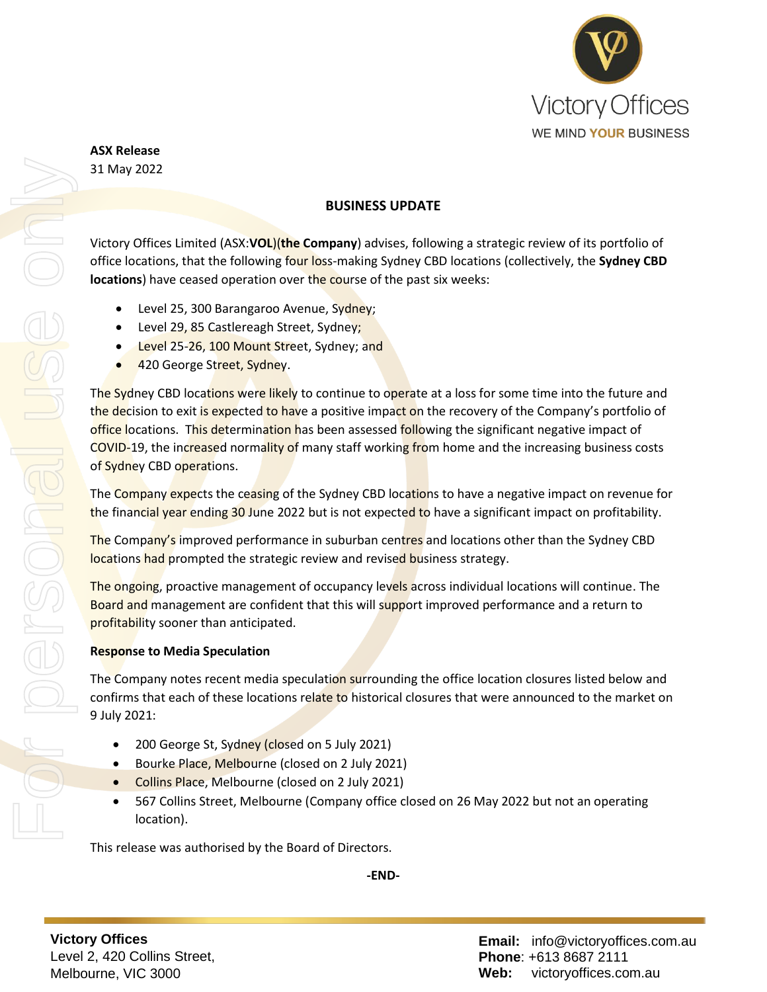

**ASX Release** 31 May 2022

# **BUSINESS UPDATE**

Victory Offices Limited (ASX:**VOL**)(**the Company**) advises, following a strategic review of its portfolio of office locations, that the following four loss-making Sydney CBD locations (collectively, the **Sydney CBD locations**) have ceased operation over the course of the past six weeks:

- Level 25, 300 Barangaroo Avenue, Sydney;
- Level 29, 85 Castlereagh Street, Sydney;
- Level 25-26, 100 Mount Street, Sydney; and
- 420 George Street, Sydney.

The Sydney CBD locations were likely to continue to operate at a loss for some time into the future and the decision to exit is expected to have a positive impact on the recovery of the Company's portfolio of office locations. This determination has been assessed following the significant negative impact of COVID-19, the increased normality of many staff working from home and the increasing business costs of Sydney CBD operations.

The Company expects the ceasing of the Sydney CBD locations to have a negative impact on revenue for the financial year ending 30 June 2022 but is not expected to have a significant impact on profitability.

The Company's improved performance in suburban centres and locations other than the Sydney CBD locations had prompted the strategic review and revised business strategy.

The ongoing, proactive management of occupancy levels across individual locations will continue. The Board and management are confident that this will support improved performance and a return to profitability sooner than anticipated.

# **Response to Media Speculation**

The Company notes recent media speculation surrounding the office location closures listed below and confirms that each of these locations relate to historical closures that were announced to the market on 9 July 2021:

- 200 George St, Sydney (closed on 5 July 2021)
- Bourke Place, Melbourne (closed on 2 July 2021)
- Collins Place, Melbourne (closed on 2 July 2021)
- 567 Collins Street, Melbourne (Company office closed on 26 May 2022 but not an operating location).

This release was authorised by the Board of Directors.

**-END-**

For personal use only ISONAL